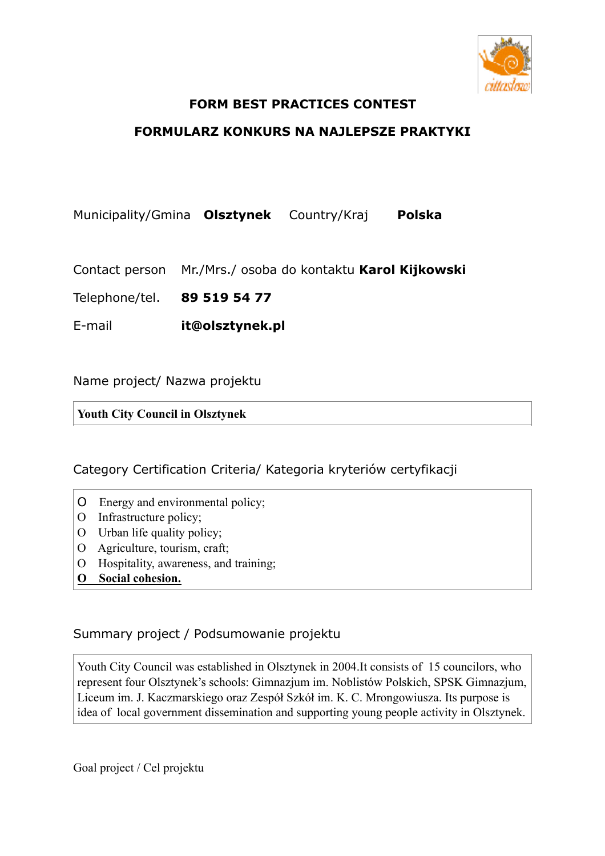

## **FORM BEST PRACTICES CONTEST**

## **FORMULARZ KONKURS NA NAJLEPSZE PRAKTYKI**

Municipality/Gmina **Olsztynek** Country/Kraj **Polska** 

Contact person Mr./Mrs./ osoba do kontaktu **Karol Kijkowski** 

Telephone/tel. **89 519 54 77** 

E-mail **it@olsztynek.pl** 

Name project/ Nazwa projektu

**Youth City Council in Olsztynek**

Category Certification Criteria/ Kategoria kryteriów certyfikacji

- O Energy and environmental policy;
- O Infrastructure policy;
- O Urban life quality policy;
- O Agriculture, tourism, craft;
- O Hospitality, awareness, and training;
- **O Social cohesion.**

Summary project / Podsumowanie projektu

Youth City Council was established in Olsztynek in 2004.It consists of 15 councilors, who represent four Olsztynek's schools: Gimnazjum im. Noblistów Polskich, SPSK Gimnazjum, Liceum im. J. Kaczmarskiego oraz Zespół Szkół im. K. C. Mrongowiusza. Its purpose is idea of local government dissemination and supporting young people activity in Olsztynek.

Goal project / Cel projektu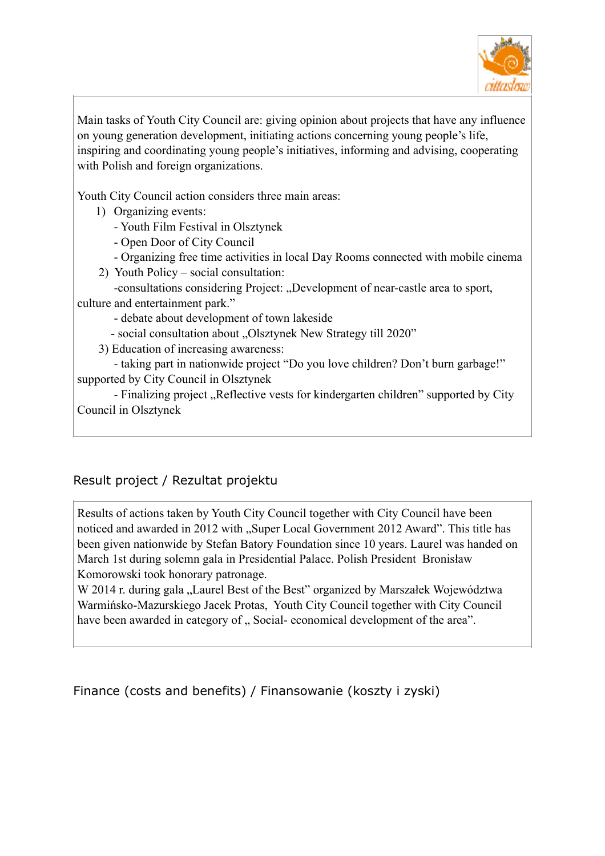

Main tasks of Youth City Council are: giving opinion about projects that have any influence on young generation development, initiating actions concerning young people's life, inspiring and coordinating young people's initiatives, informing and advising, cooperating with Polish and foreign organizations.

Youth City Council action considers three main areas:

- 1) Organizing events:
	- Youth Film Festival in Olsztynek
	- Open Door of City Council
	- Organizing free time activities in local Day Rooms connected with mobile cinema
- 2) Youth Policy social consultation:

-consultations considering Project: "Development of near-castle area to sport, culture and entertainment park."

- debate about development of town lakeside

- social consultation about "Olsztynek New Strategy till 2020"

3) Education of increasing awareness:

 - taking part in nationwide project "Do you love children? Don't burn garbage!" supported by City Council in Olsztynek

- Finalizing project "Reflective vests for kindergarten children" supported by City Council in Olsztynek

## Result project / Rezultat projektu

Results of actions taken by Youth City Council together with City Council have been noticed and awarded in 2012 with "Super Local Government 2012 Award". This title has been given nationwide by Stefan Batory Foundation since 10 years. Laurel was handed on March 1st during solemn gala in Presidential Palace. Polish President Bronisław Komorowski took honorary patronage.

W 2014 r. during gala "Laurel Best of the Best" organized by Marszałek Województwa Warmińsko-Mazurskiego Jacek Protas, Youth City Council together with City Council have been awarded in category of . Social- economical development of the area".

Finance (costs and benefits) / Finansowanie (koszty i zyski)